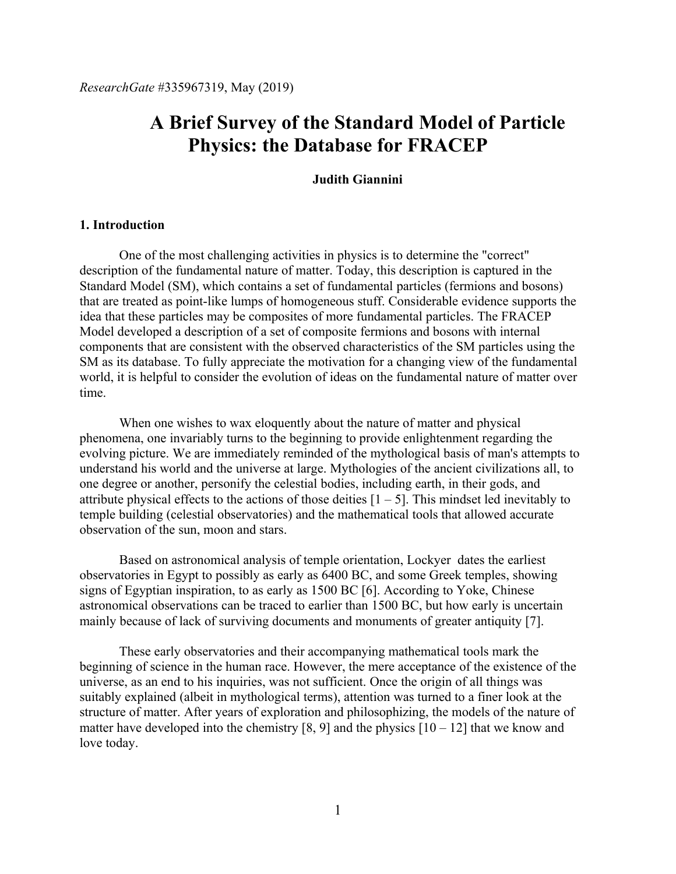# **A Brief Survey of the Standard Model of Particle Physics: the Database for FRACEP**

#### **Judith Giannini**

### **1. Introduction**

One of the most challenging activities in physics is to determine the "correct" description of the fundamental nature of matter. Today, this description is captured in the Standard Model (SM), which contains a set of fundamental particles (fermions and bosons) that are treated as point-like lumps of homogeneous stuff. Considerable evidence supports the idea that these particles may be composites of more fundamental particles. The FRACEP Model developed a description of a set of composite fermions and bosons with internal components that are consistent with the observed characteristics of the SM particles using the SM as its database. To fully appreciate the motivation for a changing view of the fundamental world, it is helpful to consider the evolution of ideas on the fundamental nature of matter over time.

When one wishes to wax eloquently about the nature of matter and physical phenomena, one invariably turns to the beginning to provide enlightenment regarding the evolving picture. We are immediately reminded of the mythological basis of man's attempts to understand his world and the universe at large. Mythologies of the ancient civilizations all, to one degree or another, personify the celestial bodies, including earth, in their gods, and attribute physical effects to the actions of those deities  $[1 - 5]$ . This mindset led inevitably to temple building (celestial observatories) and the mathematical tools that allowed accurate observation of the sun, moon and stars.

Based on astronomical analysis of temple orientation, Lockyer dates the earliest observatories in Egypt to possibly as early as 6400 BC, and some Greek temples, showing signs of Egyptian inspiration, to as early as 1500 BC [6]. According to Yoke, Chinese astronomical observations can be traced to earlier than 1500 BC, but how early is uncertain mainly because of lack of surviving documents and monuments of greater antiquity [7].

These early observatories and their accompanying mathematical tools mark the beginning of science in the human race. However, the mere acceptance of the existence of the universe, as an end to his inquiries, was not sufficient. Once the origin of all things was suitably explained (albeit in mythological terms), attention was turned to a finer look at the structure of matter. After years of exploration and philosophizing, the models of the nature of matter have developed into the chemistry [8, 9] and the physics  $[10 - 12]$  that we know and love today.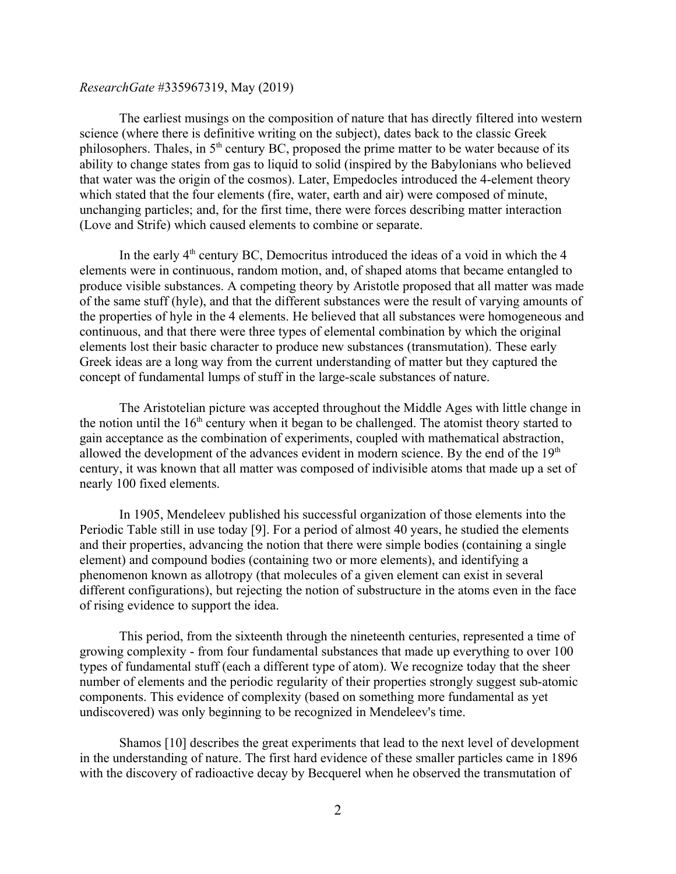The earliest musings on the composition of nature that has directly filtered into western science (where there is definitive writing on the subject), dates back to the classic Greek philosophers. Thales, in  $5<sup>th</sup>$  century BC, proposed the prime matter to be water because of its ability to change states from gas to liquid to solid (inspired by the Babylonians who believed that water was the origin of the cosmos). Later, Empedocles introduced the 4-element theory which stated that the four elements (fire, water, earth and air) were composed of minute, unchanging particles; and, for the first time, there were forces describing matter interaction (Love and Strife) which caused elements to combine or separate.

In the early  $4<sup>th</sup>$  century BC, Democritus introduced the ideas of a void in which the 4 elements were in continuous, random motion, and, of shaped atoms that became entangled to produce visible substances. A competing theory by Aristotle proposed that all matter was made of the same stuff (hyle), and that the different substances were the result of varying amounts of the properties of hyle in the 4 elements. He believed that all substances were homogeneous and continuous, and that there were three types of elemental combination by which the original elements lost their basic character to produce new substances (transmutation). These early Greek ideas are a long way from the current understanding of matter but they captured the concept of fundamental lumps of stuff in the large-scale substances of nature.

The Aristotelian picture was accepted throughout the Middle Ages with little change in the notion until the  $16<sup>th</sup>$  century when it began to be challenged. The atomist theory started to gain acceptance as the combination of experiments, coupled with mathematical abstraction, allowed the development of the advances evident in modern science. By the end of the  $19<sup>th</sup>$ century, it was known that all matter was composed of indivisible atoms that made up a set of nearly 100 fixed elements.

In 1905, Mendeleev published his successful organization of those elements into the Periodic Table still in use today [9]. For a period of almost 40 years, he studied the elements and their properties, advancing the notion that there were simple bodies (containing a single element) and compound bodies (containing two or more elements), and identifying a phenomenon known as allotropy (that molecules of a given element can exist in several different configurations), but rejecting the notion of substructure in the atoms even in the face of rising evidence to support the idea.

This period, from the sixteenth through the nineteenth centuries, represented a time of growing complexity - from four fundamental substances that made up everything to over 100 types of fundamental stuff (each a different type of atom). We recognize today that the sheer number of elements and the periodic regularity of their properties strongly suggest sub-atomic components. This evidence of complexity (based on something more fundamental as yet undiscovered) was only beginning to be recognized in Mendeleev's time.

Shamos [10] describes the great experiments that lead to the next level of development in the understanding of nature. The first hard evidence of these smaller particles came in 1896 with the discovery of radioactive decay by Becquerel when he observed the transmutation of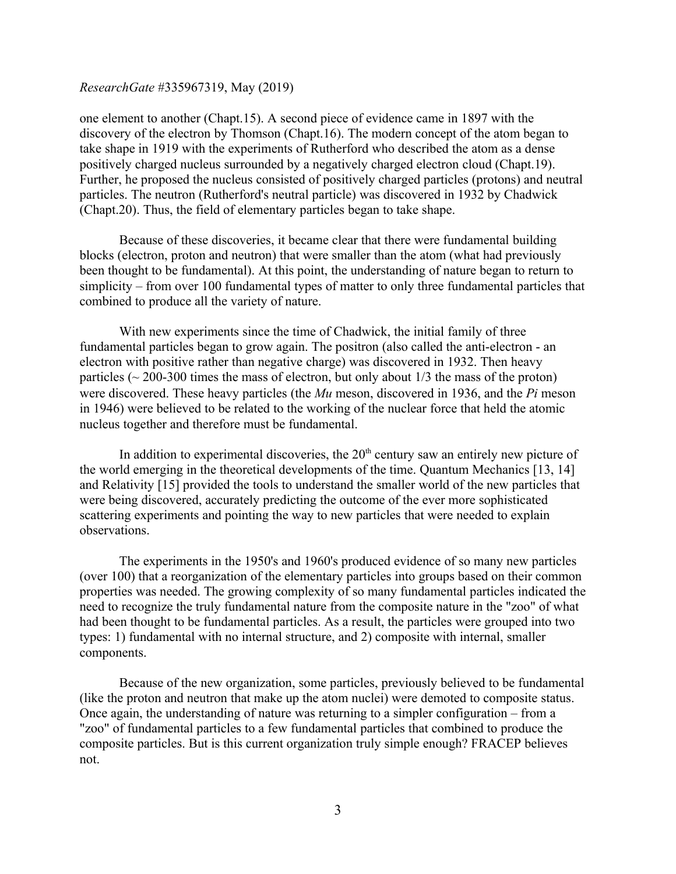one element to another (Chapt.15). A second piece of evidence came in 1897 with the discovery of the electron by Thomson (Chapt.16). The modern concept of the atom began to take shape in 1919 with the experiments of Rutherford who described the atom as a dense positively charged nucleus surrounded by a negatively charged electron cloud (Chapt.19). Further, he proposed the nucleus consisted of positively charged particles (protons) and neutral particles. The neutron (Rutherford's neutral particle) was discovered in 1932 by Chadwick (Chapt.20). Thus, the field of elementary particles began to take shape.

Because of these discoveries, it became clear that there were fundamental building blocks (electron, proton and neutron) that were smaller than the atom (what had previously been thought to be fundamental). At this point, the understanding of nature began to return to simplicity – from over 100 fundamental types of matter to only three fundamental particles that combined to produce all the variety of nature.

With new experiments since the time of Chadwick, the initial family of three fundamental particles began to grow again. The positron (also called the anti-electron - an electron with positive rather than negative charge) was discovered in 1932. Then heavy particles ( $\sim$  200-300 times the mass of electron, but only about 1/3 the mass of the proton) were discovered. These heavy particles (the *Mu* meson, discovered in 1936, and the *Pi* meson in 1946) were believed to be related to the working of the nuclear force that held the atomic nucleus together and therefore must be fundamental.

In addition to experimental discoveries, the  $20<sup>th</sup>$  century saw an entirely new picture of the world emerging in the theoretical developments of the time. Quantum Mechanics [13, 14] and Relativity [15] provided the tools to understand the smaller world of the new particles that were being discovered, accurately predicting the outcome of the ever more sophisticated scattering experiments and pointing the way to new particles that were needed to explain observations.

The experiments in the 1950's and 1960's produced evidence of so many new particles (over 100) that a reorganization of the elementary particles into groups based on their common properties was needed. The growing complexity of so many fundamental particles indicated the need to recognize the truly fundamental nature from the composite nature in the "zoo" of what had been thought to be fundamental particles. As a result, the particles were grouped into two types: 1) fundamental with no internal structure, and 2) composite with internal, smaller components.

Because of the new organization, some particles, previously believed to be fundamental (like the proton and neutron that make up the atom nuclei) were demoted to composite status. Once again, the understanding of nature was returning to a simpler configuration – from a "zoo" of fundamental particles to a few fundamental particles that combined to produce the composite particles. But is this current organization truly simple enough? FRACEP believes not.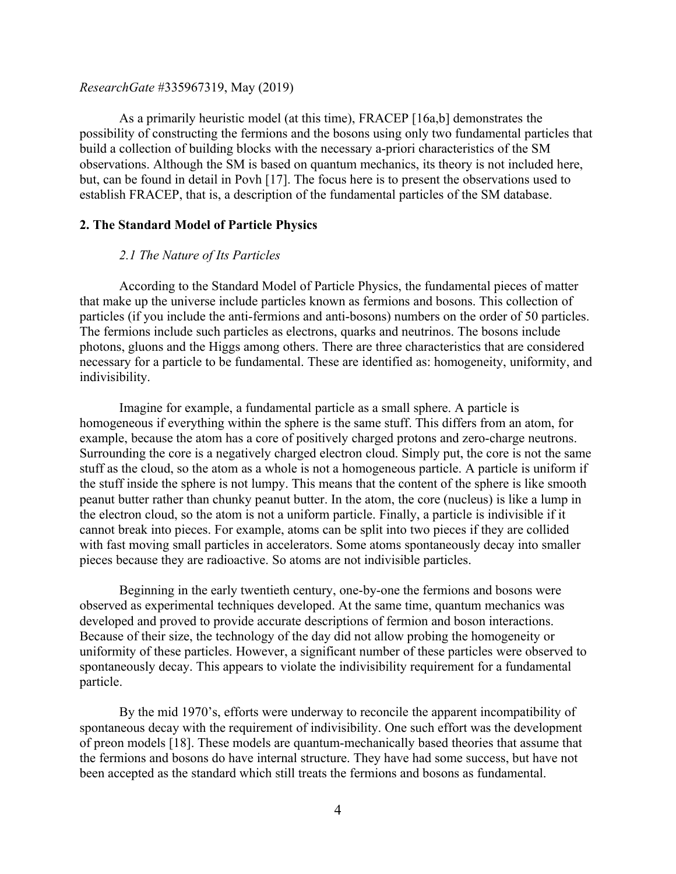As a primarily heuristic model (at this time), FRACEP [16a,b] demonstrates the possibility of constructing the fermions and the bosons using only two fundamental particles that build a collection of building blocks with the necessary a-priori characteristics of the SM observations. Although the SM is based on quantum mechanics, its theory is not included here, but, can be found in detail in Povh [17]. The focus here is to present the observations used to establish FRACEP, that is, a description of the fundamental particles of the SM database.

### **2. The Standard Model of Particle Physics**

#### *2.1 The Nature of Its Particles*

According to the Standard Model of Particle Physics, the fundamental pieces of matter that make up the universe include particles known as fermions and bosons. This collection of particles (if you include the anti-fermions and anti-bosons) numbers on the order of 50 particles. The fermions include such particles as electrons, quarks and neutrinos. The bosons include photons, gluons and the Higgs among others. There are three characteristics that are considered necessary for a particle to be fundamental. These are identified as: homogeneity, uniformity, and indivisibility.

Imagine for example, a fundamental particle as a small sphere. A particle is homogeneous if everything within the sphere is the same stuff. This differs from an atom, for example, because the atom has a core of positively charged protons and zero-charge neutrons. Surrounding the core is a negatively charged electron cloud. Simply put, the core is not the same stuff as the cloud, so the atom as a whole is not a homogeneous particle. A particle is uniform if the stuff inside the sphere is not lumpy. This means that the content of the sphere is like smooth peanut butter rather than chunky peanut butter. In the atom, the core (nucleus) is like a lump in the electron cloud, so the atom is not a uniform particle. Finally, a particle is indivisible if it cannot break into pieces. For example, atoms can be split into two pieces if they are collided with fast moving small particles in accelerators. Some atoms spontaneously decay into smaller pieces because they are radioactive. So atoms are not indivisible particles.

Beginning in the early twentieth century, one-by-one the fermions and bosons were observed as experimental techniques developed. At the same time, quantum mechanics was developed and proved to provide accurate descriptions of fermion and boson interactions. Because of their size, the technology of the day did not allow probing the homogeneity or uniformity of these particles. However, a significant number of these particles were observed to spontaneously decay. This appears to violate the indivisibility requirement for a fundamental particle.

By the mid 1970's, efforts were underway to reconcile the apparent incompatibility of spontaneous decay with the requirement of indivisibility. One such effort was the development of preon models [18]. These models are quantum-mechanically based theories that assume that the fermions and bosons do have internal structure. They have had some success, but have not been accepted as the standard which still treats the fermions and bosons as fundamental.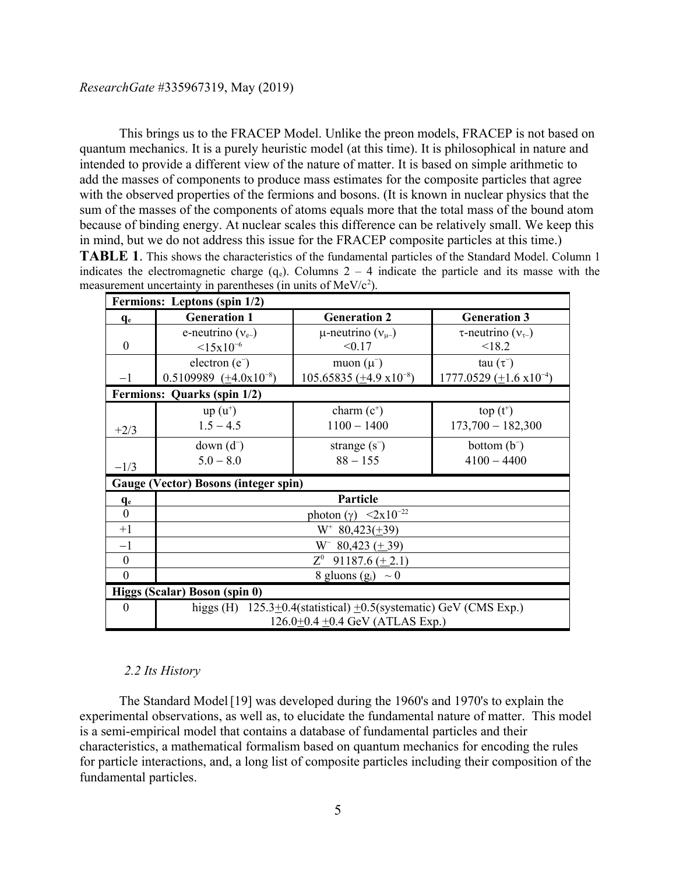This brings us to the FRACEP Model. Unlike the preon models, FRACEP is not based on quantum mechanics. It is a purely heuristic model (at this time). It is philosophical in nature and intended to provide a different view of the nature of matter. It is based on simple arithmetic to add the masses of components to produce mass estimates for the composite particles that agree with the observed properties of the fermions and bosons. (It is known in nuclear physics that the sum of the masses of the components of atoms equals more that the total mass of the bound atom because of binding energy. At nuclear scales this difference can be relatively small. We keep this in mind, but we do not address this issue for the FRACEP composite particles at this time.) **TABLE 1**. This shows the characteristics of the fundamental particles of the Standard Model. Column 1 indicates the electromagnetic charge  $(q_e)$ . Columns 2 – 4 indicate the particle and its masse with the

|                   | Fermions: Leptons (spin 1/2)                                                  |                                                   |                                     |  |  |  |  |
|-------------------|-------------------------------------------------------------------------------|---------------------------------------------------|-------------------------------------|--|--|--|--|
| $q_e$             | <b>Generation 1</b>                                                           | <b>Generation 2</b>                               | <b>Generation 3</b>                 |  |  |  |  |
|                   | e-neutrino $(v_{e})$                                                          | $\mu$ -neutrino $(v_{\mu-})$                      | $\tau$ -neutrino ( $v_{\tau-}$ )    |  |  |  |  |
| $\theta$          | $<15x10^{-6}$                                                                 | < 0.17                                            | < 18.2                              |  |  |  |  |
|                   | electron $(e^-)$                                                              | muon $(\mu^-)$                                    | tau $(\tau^-)$                      |  |  |  |  |
| $-1$              | 0.5109989 $(\pm 4.0x10^{-8})$                                                 | $105.65835 \left( \pm 4.9 \times 10^{-8} \right)$ | $1777.0529 \ (\pm 1.6 \ x 10^{-4})$ |  |  |  |  |
|                   | Fermions: Quarks (spin 1/2)                                                   |                                                   |                                     |  |  |  |  |
|                   | $up(u^+)$                                                                     | charm $(c^+)$                                     | $top(t^+)$                          |  |  |  |  |
| $+2/3$            | $1.5 - 4.5$                                                                   | $1100 - 1400$                                     | $173,700 - 182,300$                 |  |  |  |  |
|                   | $down(d-)$                                                                    | strange $(s^-)$                                   | bottom $(b^-)$                      |  |  |  |  |
|                   | $5.0 - 8.0$                                                                   | $88 - 155$                                        | $4100 - 4400$                       |  |  |  |  |
| $-1/3$            |                                                                               |                                                   |                                     |  |  |  |  |
|                   | <b>Gauge (Vector) Bosons (integer spin)</b>                                   |                                                   |                                     |  |  |  |  |
| $q_e$<br>$\Omega$ |                                                                               | Particle                                          |                                     |  |  |  |  |
|                   | photon (γ) $\langle 2x10^{-22} \rangle$                                       |                                                   |                                     |  |  |  |  |
| $+1$              | $W^*$ 80,423( $\pm$ 39)                                                       |                                                   |                                     |  |  |  |  |
| $-1$              | $W^-$ 80,423 ( $\pm$ 39)                                                      |                                                   |                                     |  |  |  |  |
| $\mathbf{0}$      | $Z^0$<br>91187.6 $(\pm 2.1)$                                                  |                                                   |                                     |  |  |  |  |
| $\Omega$          | 8 gluons $(g_i) \sim 0$                                                       |                                                   |                                     |  |  |  |  |
|                   | Higgs (Scalar) Boson (spin 0)                                                 |                                                   |                                     |  |  |  |  |
| $\Omega$          | higgs (H) $125.3 \pm 0.4$ (statistical) $\pm 0.5$ (systematic) GeV (CMS Exp.) |                                                   |                                     |  |  |  |  |
|                   | $126.0 \pm 0.4 \pm 0.4$ GeV (ATLAS Exp.)                                      |                                                   |                                     |  |  |  |  |

## *2.2 Its History*

The Standard Model [19] was developed during the 1960's and 1970's to explain the experimental observations, as well as, to elucidate the fundamental nature of matter. This model is a semi-empirical model that contains a database of fundamental particles and their characteristics, a mathematical formalism based on quantum mechanics for encoding the rules for particle interactions, and, a long list of composite particles including their composition of the fundamental particles.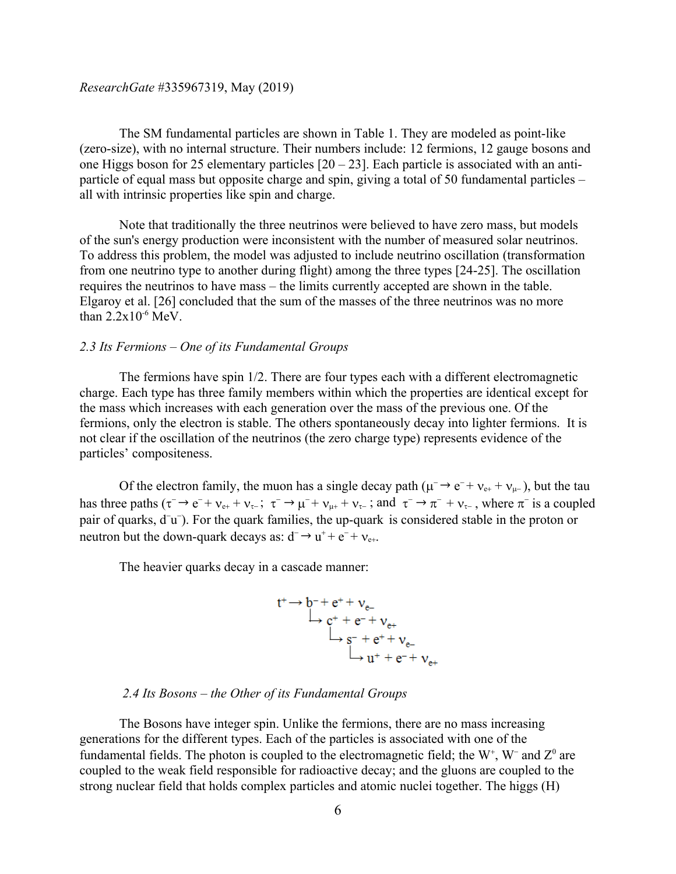The SM fundamental particles are shown in Table 1. They are modeled as point-like (zero-size), with no internal structure. Their numbers include: 12 fermions, 12 gauge bosons and one Higgs boson for 25 elementary particles  $[20 - 23]$ . Each particle is associated with an antiparticle of equal mass but opposite charge and spin, giving a total of 50 fundamental particles – all with intrinsic properties like spin and charge.

Note that traditionally the three neutrinos were believed to have zero mass, but models of the sun's energy production were inconsistent with the number of measured solar neutrinos. To address this problem, the model was adjusted to include neutrino oscillation (transformation from one neutrino type to another during flight) among the three types [24-25]. The oscillation requires the neutrinos to have mass – the limits currently accepted are shown in the table. Elgaroy et al. [26] concluded that the sum of the masses of the three neutrinos was no more than  $2.2x10^{-6}$  MeV.

## *2.3 Its Fermions – One of its Fundamental Groups*

The fermions have spin 1/2. There are four types each with a different electromagnetic charge. Each type has three family members within which the properties are identical except for the mass which increases with each generation over the mass of the previous one. Of the fermions, only the electron is stable. The others spontaneously decay into lighter fermions. It is not clear if the oscillation of the neutrinos (the zero charge type) represents evidence of the particles' compositeness.

Of the electron family, the muon has a single decay path  $(\mu^- \rightarrow e^- + \nu_{e^+} + \nu_{\mu^-})$ , but the tau has three paths  $(\tau^- \to e^- + \nu_{e+} + \nu_{\tau-}; \tau^- \to \mu^- + \nu_{\mu+} + \nu_{\tau-};$  and  $\tau^- \to \pi^- + \nu_{\tau-}$ , where  $\pi^-$  is a coupled pair of quarks, d<sup>-</sup>u<sup>-</sup>). For the quark families, the up-quark is considered stable in the proton or neutron but the down-quark decays as:  $d^- \rightarrow u^+ + e^- + v_{e^+}$ .

The heavier quarks decay in a cascade manner:

$$
t^+\rightarrow b^- + e^+ + v_{e^-}
$$
  
\n
$$
\downarrow c^+ + e^- + v_{e^+}
$$
  
\n
$$
\downarrow s^- + e^+ + v_{e^-}
$$
  
\n
$$
\downarrow u^+ + e^- + v_{e^+}
$$

## *2.4 Its Bosons – the Other of its Fundamental Groups*

The Bosons have integer spin. Unlike the fermions, there are no mass increasing generations for the different types. Each of the particles is associated with one of the fundamental fields. The photon is coupled to the electromagnetic field; the  $W^+$ ,  $W^-$  and  $Z^0$  are coupled to the weak field responsible for radioactive decay; and the gluons are coupled to the strong nuclear field that holds complex particles and atomic nuclei together. The higgs (H)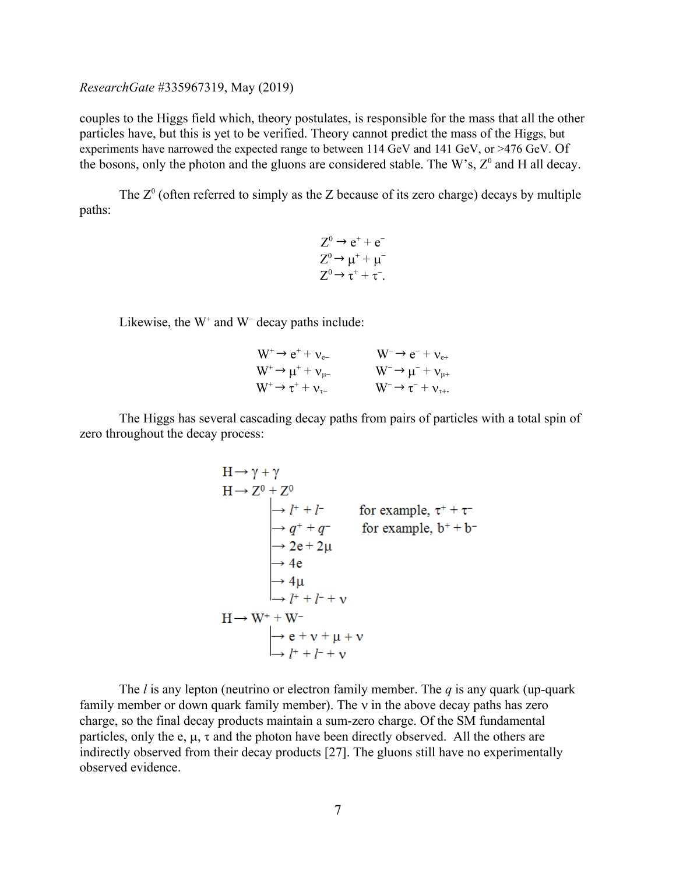couples to the Higgs field which, theory postulates, is responsible for the mass that all the other particles have, but this is yet to be verified. Theory cannot predict the mass of the Higgs, but experiments have narrowed the expected range to between 114 GeV and 141 GeV, or >476 GeV. Of the bosons, only the photon and the gluons are considered stable. The W's,  $Z^0$  and H all decay.

The  $Z^0$  (often referred to simply as the Z because of its zero charge) decays by multiple paths:

$$
Z^{0} \rightarrow e^{+} + e^{-}
$$

$$
Z^{0} \rightarrow \mu^{+} + \mu^{-}
$$

$$
Z^{0} \rightarrow \tau^{+} + \tau^{-}.
$$

Likewise, the  $W^+$  and  $W^-$  decay paths include:

| $W^+ \rightarrow e^+ + \nu_{e-}$      | $W^- \rightarrow e^- + v_{e+}$          |
|---------------------------------------|-----------------------------------------|
| $W^+ \rightarrow \mu^+ + \nu_{\mu-}$  | $W^- \rightarrow \mu^- + \nu_{\mu+}$    |
| $W^+\rightarrow \tau^+ + \nu_{\tau-}$ | $W^- \rightarrow \tau^- + \nu_{\tau+}.$ |

The Higgs has several cascading decay paths from pairs of particles with a total spin of zero throughout the decay process:

$$
H \rightarrow \gamma + \gamma
$$
  
\n
$$
H \rightarrow Z^{0} + Z^{0}
$$
\n
$$
\rightarrow l^{+} + l^{-}
$$
 for example,  $\tau^{+} + \tau^{-}$   
\n
$$
\rightarrow q^{+} + q^{-}
$$
 for example,  $b^{+} + b^{-}$   
\n
$$
\rightarrow 2e + 2\mu
$$
  
\n
$$
\rightarrow 4e
$$
  
\n
$$
\rightarrow 4\mu
$$
  
\n
$$
\rightarrow l^{+} + l^{-} + \nu
$$
  
\n
$$
\rightarrow e + \nu + \mu + \nu
$$
  
\n
$$
\rightarrow l^{+} + l^{-} + \nu
$$

The *l* is any lepton (neutrino or electron family member. The *q* is any quark (up-quark family member or down quark family member). The  $\nu$  in the above decay paths has zero charge, so the final decay products maintain a sum-zero charge. Of the SM fundamental particles, only the e,  $\mu$ ,  $\tau$  and the photon have been directly observed. All the others are indirectly observed from their decay products [27]. The gluons still have no experimentally observed evidence.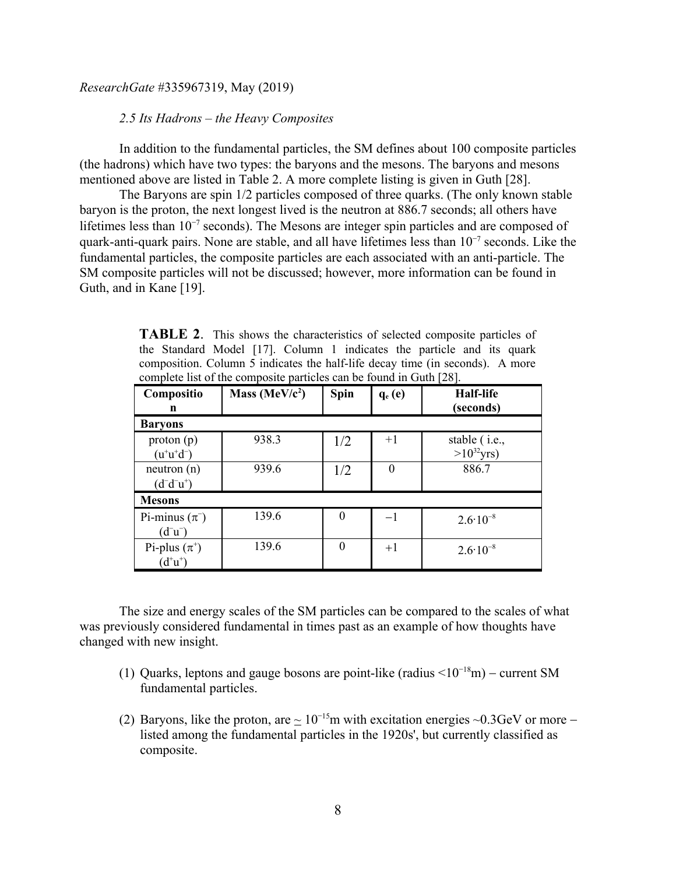## *2.5 Its Hadrons – the Heavy Composites*

In addition to the fundamental particles, the SM defines about 100 composite particles (the hadrons) which have two types: the baryons and the mesons. The baryons and mesons mentioned above are listed in Table 2. A more complete listing is given in Guth [28].

The Baryons are spin 1/2 particles composed of three quarks. (The only known stable baryon is the proton, the next longest lived is the neutron at 886.7 seconds; all others have lifetimes less than  $10^{-7}$  seconds). The Mesons are integer spin particles and are composed of quark-anti-quark pairs. None are stable, and all have lifetimes less than  $10^{-7}$  seconds. Like the fundamental particles, the composite particles are each associated with an anti-particle. The SM composite particles will not be discussed; however, more information can be found in Guth, and in Kane [19].

**TABLE 2**. This shows the characteristics of selected composite particles of the Standard Model [17]. Column 1 indicates the particle and its quark composition. Column 5 indicates the half-life decay time (in seconds). A more complete list of the composite particles can be found in Guth [28].

| Compositio<br>n                              | Mass (MeV/ $c^2$ ) | Spin     | $q_e(e)$ | <b>Half-life</b><br>(seconds)    |  |  |  |  |
|----------------------------------------------|--------------------|----------|----------|----------------------------------|--|--|--|--|
| <b>Baryons</b>                               |                    |          |          |                                  |  |  |  |  |
| proton(p)<br>$(u^{\dagger}u^{\dagger}d^{-})$ | 938.3              | 1/2      | $+1$     | stable (i.e.,<br>$>10^{32}$ yrs) |  |  |  |  |
| neutron (n)<br>$(d^-d^-u^+)$                 | 939.6              | 1/2      | $\theta$ | 886.7                            |  |  |  |  |
| <b>Mesons</b>                                |                    |          |          |                                  |  |  |  |  |
| Pi-minus $(\pi^-)$<br>$(d^-u^-)$             | 139.6              | $\theta$ | $-1$     | $2.6 \cdot 10^{-8}$              |  |  |  |  |
| Pi-plus $(\pi^+)$<br>$(d^*u^*)$              | 139.6              | $\theta$ | $+1$     | $2.6 \cdot 10^{-8}$              |  |  |  |  |

The size and energy scales of the SM particles can be compared to the scales of what was previously considered fundamental in times past as an example of how thoughts have changed with new insight.

- (1) Quarks, leptons and gauge bosons are point-like (radius  $\leq 10^{-18}$ m) current SM fundamental particles.
- (2) Baryons, like the proton, are  $\sim 10^{-15}$ m with excitation energies ~0.3GeV or more listed among the fundamental particles in the 1920s', but currently classified as composite.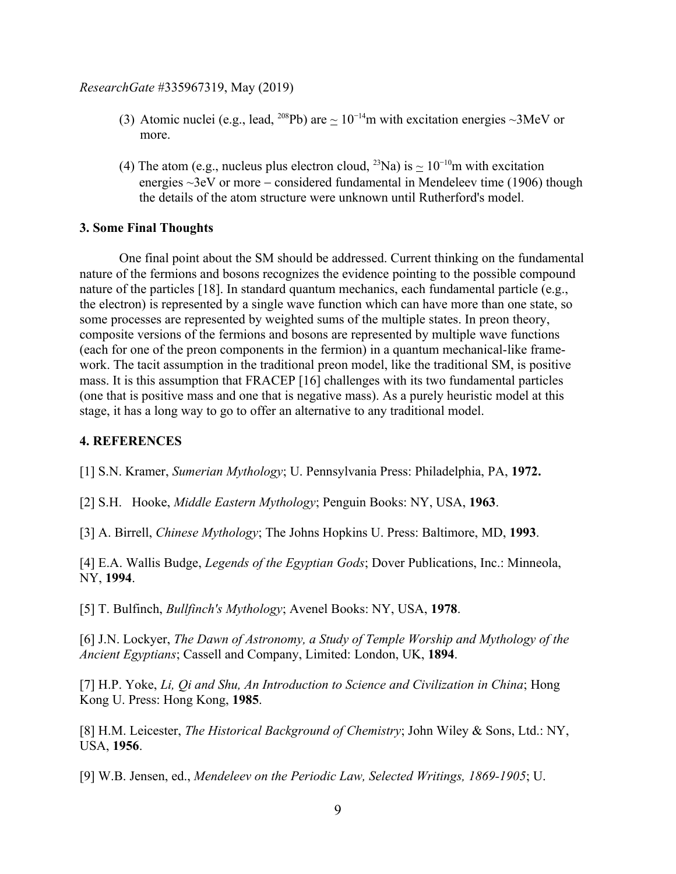- (3) Atomic nuclei (e.g., lead, <sup>208</sup>Pb) are  $\sim 10^{-14}$ m with excitation energies  $\sim 3$ MeV or more.
- (4) The atom (e.g., nucleus plus electron cloud, <sup>23</sup>Na) is  $\approx 10^{-10}$ m with excitation energies  $\sim$ 3eV or more – considered fundamental in Mendeleev time (1906) though the details of the atom structure were unknown until Rutherford's model.

## **3. Some Final Thoughts**

One final point about the SM should be addressed. Current thinking on the fundamental nature of the fermions and bosons recognizes the evidence pointing to the possible compound nature of the particles [18]. In standard quantum mechanics, each fundamental particle (e.g., the electron) is represented by a single wave function which can have more than one state, so some processes are represented by weighted sums of the multiple states. In preon theory, composite versions of the fermions and bosons are represented by multiple wave functions (each for one of the preon components in the fermion) in a quantum mechanical-like framework. The tacit assumption in the traditional preon model, like the traditional SM, is positive mass. It is this assumption that FRACEP [16] challenges with its two fundamental particles (one that is positive mass and one that is negative mass). As a purely heuristic model at this stage, it has a long way to go to offer an alternative to any traditional model.

# **4. REFERENCES**

[1] S.N. Kramer, *Sumerian Mythology*; U. Pennsylvania Press: Philadelphia, PA, **1972.**

[2] S.H. Hooke, *Middle Eastern Mythology*; Penguin Books: NY, USA, **1963**.

[3] A. Birrell, *Chinese Mythology*; The Johns Hopkins U. Press: Baltimore, MD, **1993**.

[4] E.A. Wallis Budge, *Legends of the Egyptian Gods*; Dover Publications, Inc.: Minneola, NY, **1994**.

[5] T. Bulfinch, *Bullfinch's Mythology*; Avenel Books: NY, USA, **1978**.

[6] J.N. Lockyer, *The Dawn of Astronomy, a Study of Temple Worship and Mythology of the Ancient Egyptians*; Cassell and Company, Limited: London, UK, **1894**.

[7] H.P. Yoke, *Li, Qi and Shu, An Introduction to Science and Civilization in China*; Hong Kong U. Press: Hong Kong, **1985**.

[8] H.M. Leicester, *The Historical Background of Chemistry*; John Wiley & Sons, Ltd.: NY, USA, **1956**.

[9] W.B. Jensen, ed., *Mendeleev on the Periodic Law, Selected Writings, 1869-1905*; U.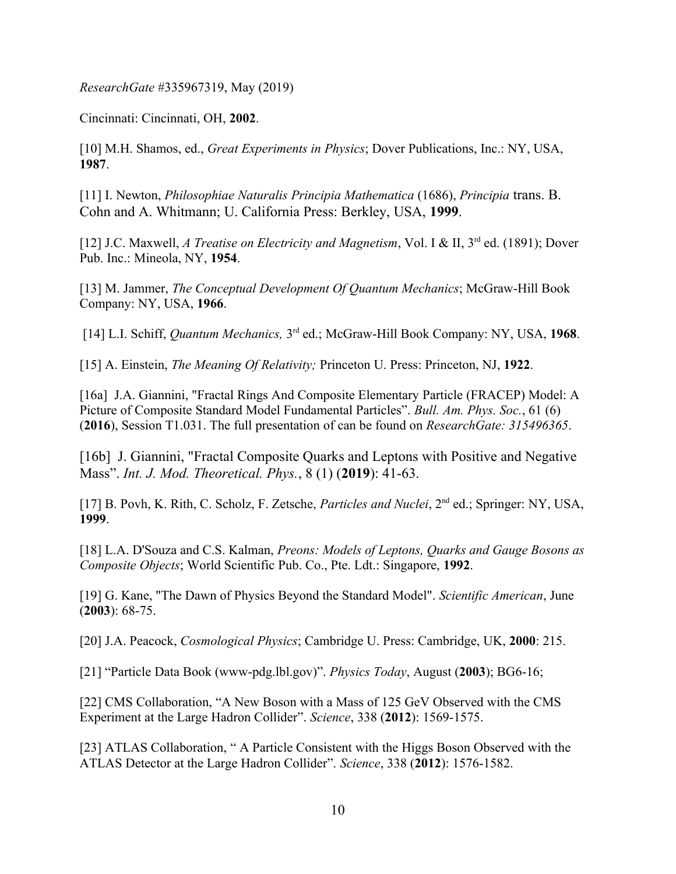Cincinnati: Cincinnati, OH, **2002**.

[10] M.H. Shamos, ed., *Great Experiments in Physics*; Dover Publications, Inc.: NY, USA, **1987**.

[11] I. Newton, *Philosophiae Naturalis Principia Mathematica* (1686), *Principia* trans. B. Cohn and A. Whitmann; U. California Press: Berkley, USA, **1999**.

[12] J.C. Maxwell, *A Treatise on Electricity and Magnetism*, Vol. I & II, 3<sup>rd</sup> ed. (1891); Dover Pub. Inc.: Mineola, NY, **1954**.

[13] M. Jammer, *The Conceptual Development Of Quantum Mechanics*; McGraw-Hill Book Company: NY, USA, **1966**.

[14] L.I. Schiff, *Quantum Mechanics,* 3rd ed.; McGraw-Hill Book Company: NY, USA, **1968**.

[15] A. Einstein, *The Meaning Of Relativity;* Princeton U. Press: Princeton, NJ, **1922**.

[16a] J.A. Giannini, "Fractal Rings And Composite Elementary Particle (FRACEP) Model: A Picture of Composite Standard Model Fundamental Particles". *Bull. Am. Phys. Soc.*, 61 (6) (**2016**), Session T1.031. The full presentation of can be found on *ResearchGate: 315496365*.

[16b] J. Giannini, "Fractal Composite Quarks and Leptons with Positive and Negative Mass". *Int. J. Mod. Theoretical. Phys.*, 8 (1) (**2019**): 41-63.

[17] B. Povh, K. Rith, C. Scholz, F. Zetsche, *Particles and Nuclei*, 2nd ed.; Springer: NY, USA, **1999**.

[18] L.A. D'Souza and C.S. Kalman, *Preons: Models of Leptons, Quarks and Gauge Bosons as Composite Objects*; World Scientific Pub. Co., Pte. Ldt.: Singapore, **1992**.

[19] G. Kane, "The Dawn of Physics Beyond the Standard Model". *Scientific American*, June (**2003**): 68-75.

[20] J.A. Peacock, *Cosmological Physics*; Cambridge U. Press: Cambridge, UK, **2000**: 215.

[21] "Particle Data Book (www-pdg.lbl.gov)". *Physics Today*, August (**2003**); BG6-16;

[22] CMS Collaboration, "A New Boson with a Mass of 125 GeV Observed with the CMS Experiment at the Large Hadron Collider". *Science*, 338 (**2012**): 1569-1575.

[23] ATLAS Collaboration, " A Particle Consistent with the Higgs Boson Observed with the ATLAS Detector at the Large Hadron Collider". *Science*, 338 (**2012**): 1576-1582.